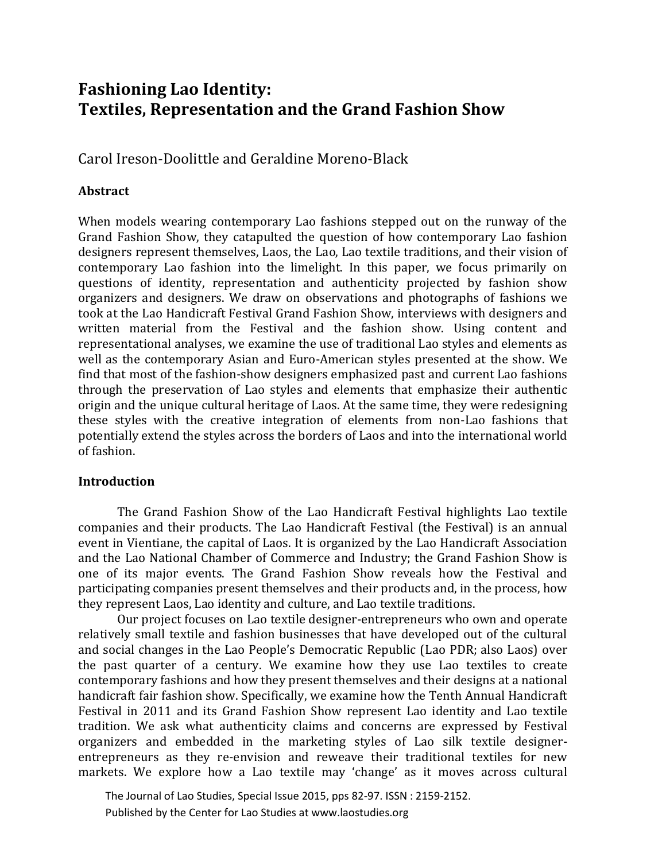# **Fashioning Lao Identity: Textiles, Representation and the Grand Fashion Show**

Carol Ireson-Doolittle and Geraldine Moreno-Black

# **Abstract**

When models wearing contemporary Lao fashions stepped out on the runway of the Grand Fashion Show, they catapulted the question of how contemporary Lao fashion designers represent themselves, Laos, the Lao, Lao textile traditions, and their vision of contemporary Lao fashion into the limelight. In this paper, we focus primarily on questions of identity, representation and authenticity projected by fashion show organizers and designers. We draw on observations and photographs of fashions we took at the Lao Handicraft Festival Grand Fashion Show, interviews with designers and written material from the Festival and the fashion show. Using content and representational analyses, we examine the use of traditional Lao styles and elements as well as the contemporary Asian and Euro-American styles presented at the show. We find that most of the fashion-show designers emphasized past and current Lao fashions through the preservation of Lao styles and elements that emphasize their authentic origin and the unique cultural heritage of Laos. At the same time, they were redesigning these styles with the creative integration of elements from non-Lao fashions that potentially extend the styles across the borders of Laos and into the international world of fashion.

# **Introduction**

The Grand Fashion Show of the Lao Handicraft Festival highlights Lao textile companies and their products. The Lao Handicraft Festival (the Festival) is an annual event in Vientiane, the capital of Laos. It is organized by the Lao Handicraft Association and the Lao National Chamber of Commerce and Industry; the Grand Fashion Show is one of its major events. The Grand Fashion Show reveals how the Festival and participating companies present themselves and their products and, in the process, how they represent Laos, Lao identity and culture, and Lao textile traditions.

Our project focuses on Lao textile designer-entrepreneurs who own and operate relatively small textile and fashion businesses that have developed out of the cultural and social changes in the Lao People's Democratic Republic (Lao PDR; also Laos) over the past quarter of a century. We examine how they use Lao textiles to create contemporary fashions and how they present themselves and their designs at a national handicraft fair fashion show. Specifically, we examine how the Tenth Annual Handicraft Festival in 2011 and its Grand Fashion Show represent Lao identity and Lao textile tradition. We ask what authenticity claims and concerns are expressed by Festival organizers and embedded in the marketing styles of Lao silk textile designerentrepreneurs as they re-envision and reweave their traditional textiles for new markets. We explore how a Lao textile may 'change' as it moves across cultural

 The Journal of Lao Studies, Special Issue 2015, pps 82-97. ISSN : 2159-2152. Published by the Center for Lao Studies at www.laostudies.org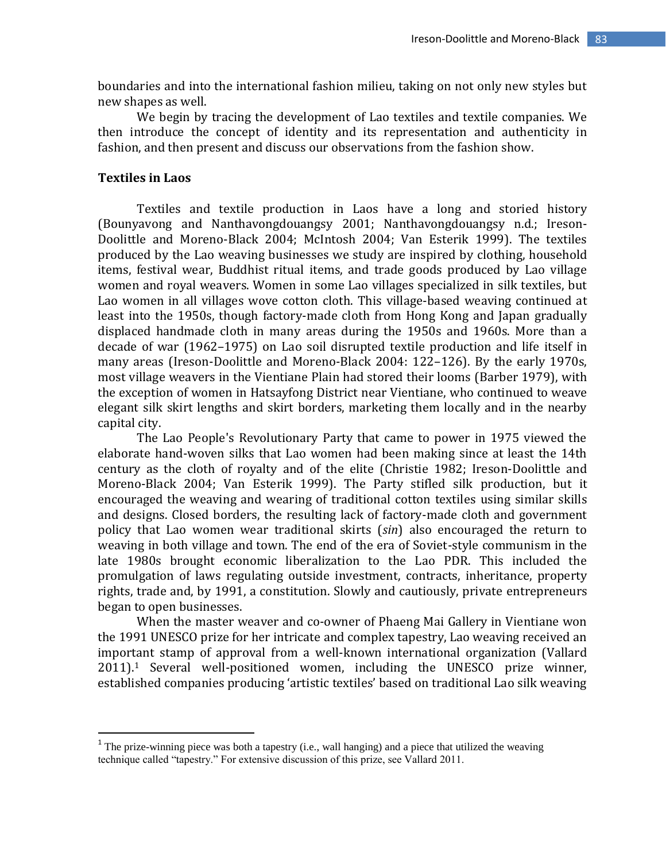boundaries and into the international fashion milieu, taking on not only new styles but new shapes as well.

We begin by tracing the development of Lao textiles and textile companies. We then introduce the concept of identity and its representation and authenticity in fashion, and then present and discuss our observations from the fashion show.

## **Textiles in Laos**

 $\overline{\phantom{a}}$ 

Textiles and textile production in Laos have a long and storied history (Bounyavong and Nanthavongdouangsy 2001; Nanthavongdouangsy n.d.; Ireson-Doolittle and Moreno-Black 2004; McIntosh 2004; Van Esterik 1999). The textiles produced by the Lao weaving businesses we study are inspired by clothing, household items, festival wear, Buddhist ritual items, and trade goods produced by Lao village women and royal weavers. Women in some Lao villages specialized in silk textiles, but Lao women in all villages wove cotton cloth. This village-based weaving continued at least into the 1950s, though factory-made cloth from Hong Kong and Japan gradually displaced handmade cloth in many areas during the 1950s and 1960s. More than a decade of war (1962–1975) on Lao soil disrupted textile production and life itself in many areas (Ireson-Doolittle and Moreno-Black 2004: 122–126). By the early 1970s, most village weavers in the Vientiane Plain had stored their looms (Barber 1979), with the exception of women in Hatsayfong District near Vientiane, who continued to weave elegant silk skirt lengths and skirt borders, marketing them locally and in the nearby capital city.

The Lao People's Revolutionary Party that came to power in 1975 viewed the elaborate hand-woven silks that Lao women had been making since at least the 14th century as the cloth of royalty and of the elite (Christie 1982; Ireson-Doolittle and Moreno-Black 2004; Van Esterik 1999). The Party stifled silk production, but it encouraged the weaving and wearing of traditional cotton textiles using similar skills and designs. Closed borders, the resulting lack of factory-made cloth and government policy that Lao women wear traditional skirts (*sin*) also encouraged the return to weaving in both village and town. The end of the era of Soviet-style communism in the late 1980s brought economic liberalization to the Lao PDR. This included the promulgation of laws regulating outside investment, contracts, inheritance, property rights, trade and, by 1991, a constitution. Slowly and cautiously, private entrepreneurs began to open businesses.

When the master weaver and co-owner of Phaeng Mai Gallery in Vientiane won the 1991 UNESCO prize for her intricate and complex tapestry, Lao weaving received an important stamp of approval from a well-known international organization (Vallard 2011).<sup>1</sup> Several well-positioned women, including the UNESCO prize winner, established companies producing 'artistic textiles' based on traditional Lao silk weaving

<sup>&</sup>lt;sup>1</sup> The prize-winning piece was both a tapestry (i.e., wall hanging) and a piece that utilized the weaving technique called "tapestry." For extensive discussion of this prize, see Vallard 2011.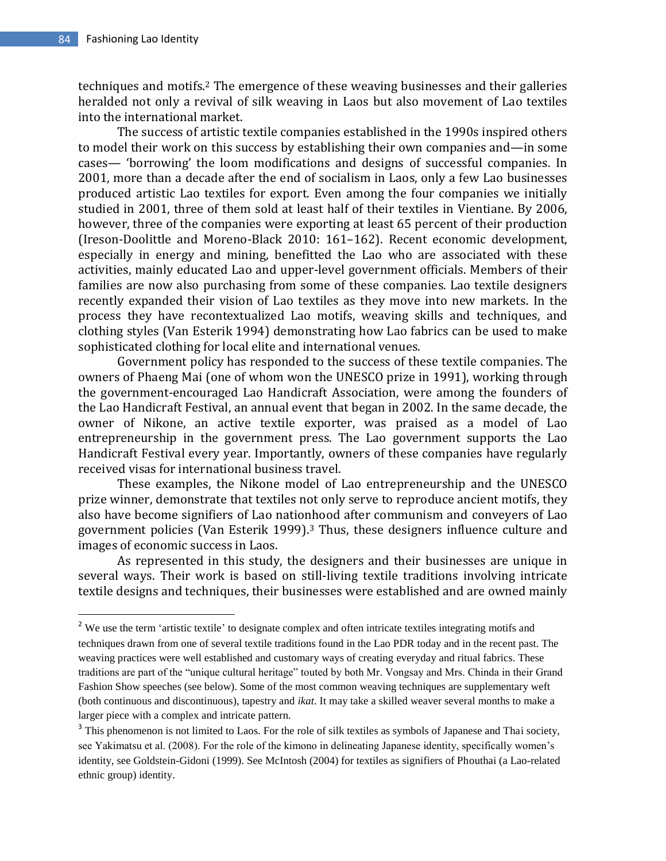$\overline{a}$ 

techniques and motifs.<sup>2</sup> The emergence of these weaving businesses and their galleries heralded not only a revival of silk weaving in [Laos](http://travel.nytimes.com/travel/guides/asia/laos/overview.html?inline=nyt-geo) but also movement of Lao textiles into the international market.

The success of artistic textile companies established in the 1990s inspired others to model their work on this success by establishing their own companies and—in some cases— 'borrowing' the loom modifications and designs of successful companies. In 2001, more than a decade after the end of socialism in Laos, only a few Lao businesses produced artistic Lao textiles for export. Even among the four companies we initially studied in 2001, three of them sold at least half of their textiles in Vientiane. By 2006, however, three of the companies were exporting at least 65 percent of their production (Ireson-Doolittle and Moreno-Black 2010: 161–162). Recent economic development, especially in energy and mining, benefitted the Lao who are associated with these activities, mainly educated Lao and upper-level government officials. Members of their families are now also purchasing from some of these companies. Lao textile designers recently expanded their vision of Lao textiles as they move into new markets. In the process they have recontextualized Lao motifs, weaving skills and techniques, and clothing styles (Van Esterik 1994) demonstrating how Lao fabrics can be used to make sophisticated clothing for local elite and international venues.

Government policy has responded to the success of these textile companies. The owners of Phaeng Mai (one of whom won the UNESCO prize in 1991), working through the government-encouraged Lao Handicraft Association, were among the founders of the Lao Handicraft Festival, an annual event that began in 2002. In the same decade, the owner of Nikone, an active textile exporter, was praised as a model of Lao entrepreneurship in the government press. The Lao government supports the Lao Handicraft Festival every year. Importantly, owners of these companies have regularly received visas for international business travel.

These examples, the Nikone model of Lao entrepreneurship and the UNESCO prize winner, demonstrate that textiles not only serve to reproduce ancient motifs, they also have become signifiers of Lao nationhood after communism and conveyers of Lao government policies (Van Esterik 1999).<sup>3</sup> Thus, these designers influence culture and images of economic success in Laos.

As represented in this study, the designers and their businesses are unique in several ways. Their work is based on still-living textile traditions involving intricate textile designs and techniques, their businesses were established and are owned mainly

<sup>&</sup>lt;sup>2</sup> We use the term 'artistic textile' to designate complex and often intricate textiles integrating motifs and techniques drawn from one of several textile traditions found in the Lao PDR today and in the recent past. The weaving practices were well established and customary ways of creating everyday and ritual fabrics. These traditions are part of the "unique cultural heritage" touted by both Mr. Vongsay and Mrs. Chinda in their Grand Fashion Show speeches (see below). Some of the most common weaving techniques are supplementary weft (both continuous and discontinuous), tapestry and *ikat*. It may take a skilled weaver several months to make a larger piece with a complex and intricate pattern.

<sup>&</sup>lt;sup>3</sup> This phenomenon is not limited to Laos. For the role of silk textiles as symbols of Japanese and Thai society, see Yakimatsu et al. (2008). For the role of the kimono in delineating Japanese identity, specifically women's identity, see Goldstein-Gidoni (1999). See McIntosh (2004) for textiles as signifiers of Phouthai (a Lao-related ethnic group) identity.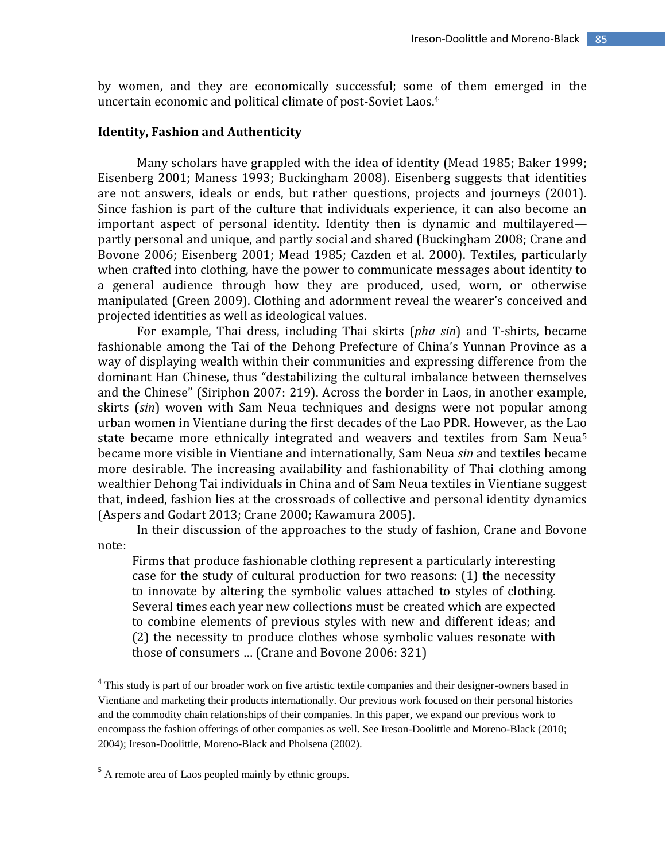by women, and they are economically successful; some of them emerged in the uncertain economic and political climate of post-Soviet Laos.<sup>4</sup>

#### **Identity, Fashion and Authenticity**

Many scholars have grappled with the idea of identity (Mead 1985; Baker 1999; Eisenberg 2001; Maness 1993; Buckingham 2008). Eisenberg suggests that identities are not answers, ideals or ends, but rather questions, projects and journeys (2001). Since fashion is part of the culture that individuals experience, it can also become an important aspect of personal identity. Identity then is dynamic and multilayered partly personal and unique, and partly social and shared (Buckingham 2008; Crane and Bovone 2006; Eisenberg 2001; Mead 1985; Cazden et al. 2000). Textiles, particularly when crafted into clothing, have the power to communicate messages about identity to a general audience through how they are produced, used, worn, or otherwise manipulated (Green 2009). Clothing and adornment reveal the wearer's conceived and projected identities as well as ideological values.

For example, Thai dress, including Thai skirts (*pha sin*) and T-shirts, became fashionable among the Tai of the Dehong Prefecture of China's Yunnan Province as a way of displaying wealth within their communities and expressing difference from the dominant Han Chinese, thus "destabilizing the cultural imbalance between themselves and the Chinese" (Siriphon 2007: 219). Across the border in Laos, in another example, skirts (*sin*) woven with Sam Neua techniques and designs were not popular among urban women in Vientiane during the first decades of the Lao PDR. However, as the Lao state became more ethnically integrated and weavers and textiles from Sam Neua<sup>5</sup> became more visible in Vientiane and internationally, Sam Neua *sin* and textiles became more desirable. The increasing availability and fashionability of Thai clothing among wealthier Dehong Tai individuals in China and of Sam Neua textiles in Vientiane suggest that, indeed, fashion lies at the crossroads of collective and personal identity dynamics (Aspers and Godart 2013; Crane 2000; Kawamura 2005).

In their discussion of the approaches to the study of fashion, Crane and Bovone note:

Firms that produce fashionable clothing represent a particularly interesting case for the study of cultural production for two reasons: (1) the necessity to innovate by altering the symbolic values attached to styles of clothing. Several times each year new collections must be created which are expected to combine elements of previous styles with new and different ideas; and (2) the necessity to produce clothes whose symbolic values resonate with those of consumers … (Crane and Bovone 2006: 321)

 $\overline{\phantom{a}}$ 

<sup>&</sup>lt;sup>4</sup> This study is part of our broader work on five artistic textile companies and their designer-owners based in Vientiane and marketing their products internationally. Our previous work focused on their personal histories and the commodity chain relationships of their companies. In this paper, we expand our previous work to encompass the fashion offerings of other companies as well. See Ireson-Doolittle and Moreno-Black (2010; 2004); Ireson-Doolittle, Moreno-Black and Pholsena (2002).

<sup>&</sup>lt;sup>5</sup> A remote area of Laos peopled mainly by ethnic groups.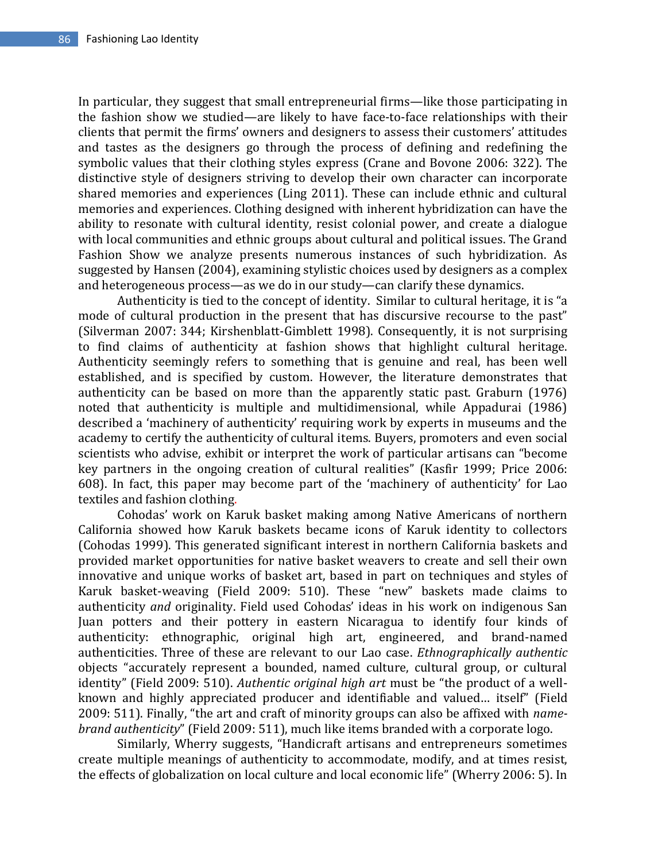In particular, they suggest that small entrepreneurial firms—like those participating in the fashion show we studied—are likely to have face-to-face relationships with their clients that permit the firms' owners and designers to assess their customers' attitudes and tastes as the designers go through the process of defining and redefining the symbolic values that their clothing styles express (Crane and Bovone 2006: 322). The distinctive style of designers striving to develop their own character can incorporate shared memories and experiences (Ling 2011). These can include ethnic and cultural memories and experiences. Clothing designed with inherent hybridization can have the ability to resonate with cultural identity, resist colonial power, and create a dialogue with local communities and ethnic groups about cultural and political issues. The Grand Fashion Show we analyze presents numerous instances of such hybridization. As suggested by Hansen (2004), examining stylistic choices used by designers as a complex and heterogeneous process—as we do in our study—can clarify these dynamics.

Authenticity is tied to the concept of identity. Similar to cultural heritage, it is "a mode of cultural production in the present that has discursive recourse to the past" (Silverman 2007: 344; Kirshenblatt-Gimblett 1998). Consequently, it is not surprising to find claims of authenticity at fashion shows that highlight cultural heritage. Authenticity seemingly refers to something that is genuine and real, has been well established, and is specified by custom. However, the literature demonstrates that authenticity can be based on more than the apparently static past. Graburn (1976) noted that authenticity is multiple and multidimensional, while Appadurai (1986) described a 'machinery of authenticity' requiring work by experts in museums and the academy to certify the authenticity of cultural items. Buyers, promoters and even social scientists who advise, exhibit or interpret the work of particular artisans can "become key partners in the ongoing creation of cultural realities" (Kasfir 1999; Price 2006: 608). In fact, this paper may become part of the 'machinery of authenticity' for Lao textiles and fashion clothing.

Cohodas' work on Karuk basket making among Native Americans of northern California showed how Karuk baskets became icons of Karuk identity to collectors (Cohodas 1999). This generated significant interest in northern California baskets and provided market opportunities for native basket weavers to create and sell their own innovative and unique works of basket art, based in part on techniques and styles of Karuk basket-weaving (Field 2009: 510). These "new" baskets made claims to authenticity *and* originality. Field used Cohodas' ideas in his work on indigenous San Juan potters and their pottery in eastern Nicaragua to identify four kinds of authenticity: ethnographic, original high art, engineered, and brand-named authenticities. Three of these are relevant to our Lao case. *Ethnographically authentic* objects "accurately represent a bounded, named culture, cultural group, or cultural identity" (Field 2009: 510). *Authentic original high art* must be "the product of a wellknown and highly appreciated producer and identifiable and valued… itself" (Field 2009: 511). Finally, "the art and craft of minority groups can also be affixed with *namebrand authenticity*" (Field 2009: 511), much like items branded with a corporate logo.

Similarly, Wherry suggests, "Handicraft artisans and entrepreneurs sometimes create multiple meanings of authenticity to accommodate, modify, and at times resist, the effects of globalization on local culture and local economic life" (Wherry 2006: 5). In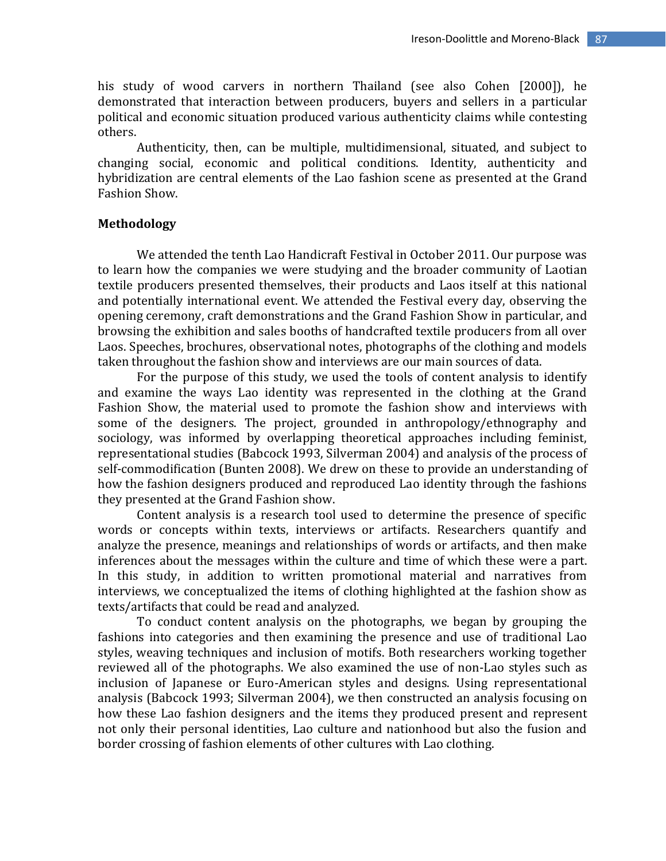his study of wood carvers in northern Thailand (see also Cohen [2000]), he demonstrated that interaction between producers, buyers and sellers in a particular political and economic situation produced various authenticity claims while contesting others.

Authenticity, then, can be multiple, multidimensional, situated, and subject to changing social, economic and political conditions. Identity, authenticity and hybridization are central elements of the Lao fashion scene as presented at the Grand Fashion Show.

## **Methodology**

We attended the tenth Lao Handicraft Festival in October 2011. Our purpose was to learn how the companies we were studying and the broader community of Laotian textile producers presented themselves, their products and Laos itself at this national and potentially international event. We attended the Festival every day, observing the opening ceremony, craft demonstrations and the Grand Fashion Show in particular, and browsing the exhibition and sales booths of handcrafted textile producers from all over Laos. Speeches, brochures, observational notes, photographs of the clothing and models taken throughout the fashion show and interviews are our main sources of data.

For the purpose of this study, we used the tools of content analysis to identify and examine the ways Lao identity was represented in the clothing at the Grand Fashion Show, the material used to promote the fashion show and interviews with some of the designers. The project, grounded in anthropology/ethnography and sociology, was informed by overlapping theoretical approaches including feminist, representational studies (Babcock 1993, Silverman 2004) and analysis of the process of self-commodification (Bunten 2008). We drew on these to provide an understanding of how the fashion designers produced and reproduced Lao identity through the fashions they presented at the Grand Fashion show.

Content analysis is a research tool used to determine the presence of specific words or concepts within texts, interviews or artifacts. Researchers quantify and analyze the presence, meanings and relationships of words or artifacts, and then make inferences about the messages within the culture and time of which these were a part. In this study, in addition to written promotional material and narratives from interviews, we conceptualized the items of clothing highlighted at the fashion show as texts/artifacts that could be read and analyzed.

To conduct content analysis on the photographs, we began by grouping the fashions into categories and then examining the presence and use of traditional Lao styles, weaving techniques and inclusion of motifs. Both researchers working together reviewed all of the photographs. We also examined the use of non-Lao styles such as inclusion of Japanese or Euro-American styles and designs. Using representational analysis (Babcock 1993; Silverman 2004), we then constructed an analysis focusing on how these Lao fashion designers and the items they produced present and represent not only their personal identities, Lao culture and nationhood but also the fusion and border crossing of fashion elements of other cultures with Lao clothing.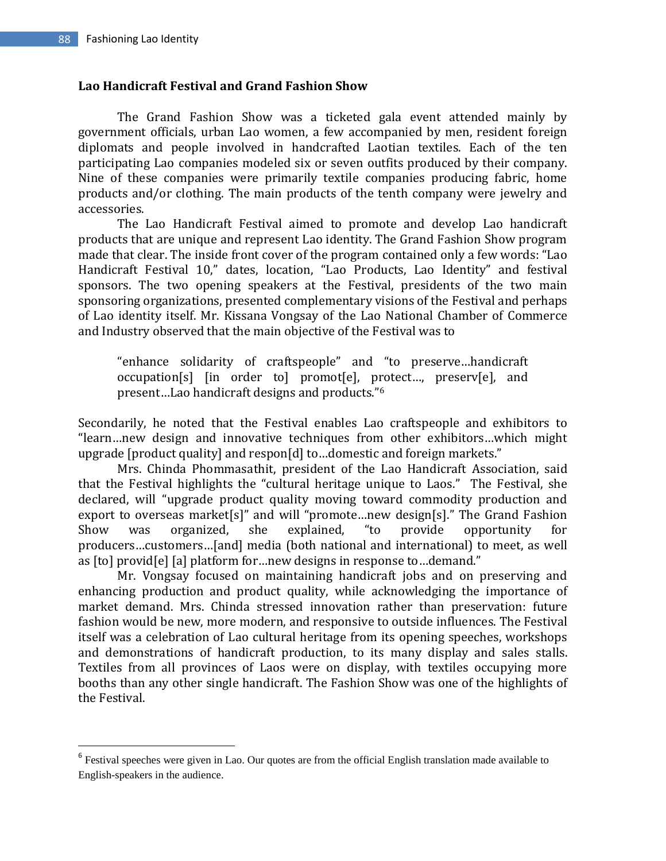$\overline{\phantom{a}}$ 

## **Lao Handicraft Festival and Grand Fashion Show**

The Grand Fashion Show was a ticketed gala event attended mainly by government officials, urban Lao women, a few accompanied by men, resident foreign diplomats and people involved in handcrafted Laotian textiles. Each of the ten participating Lao companies modeled six or seven outfits produced by their company. Nine of these companies were primarily textile companies producing fabric, home products and/or clothing. The main products of the tenth company were jewelry and accessories.

The Lao Handicraft Festival aimed to promote and develop Lao handicraft products that are unique and represent Lao identity. The Grand Fashion Show program made that clear. The inside front cover of the program contained only a few words: "Lao Handicraft Festival 10," dates, location, "Lao Products, Lao Identity" and festival sponsors. The two opening speakers at the Festival, presidents of the two main sponsoring organizations, presented complementary visions of the Festival and perhaps of Lao identity itself. Mr. Kissana Vongsay of the Lao National Chamber of Commerce and Industry observed that the main objective of the Festival was to

"enhance solidarity of craftspeople" and "to preserve…handicraft occupation[s] [in order to] promot[e], protect…, preserv[e], and present…Lao handicraft designs and products."<sup>6</sup>

Secondarily, he noted that the Festival enables Lao craftspeople and exhibitors to "learn…new design and innovative techniques from other exhibitors…which might upgrade [product quality] and respon[d] to…domestic and foreign markets."

Mrs. Chinda Phommasathit, president of the Lao Handicraft Association, said that the Festival highlights the "cultural heritage unique to Laos." The Festival, she declared, will "upgrade product quality moving toward commodity production and export to overseas market[s]" and will "promote…new design[s]." The Grand Fashion Show was organized, she explained, "to provide opportunity for producers…customers…[and] media (both national and international) to meet, as well as [to] provid[e] [a] platform for…new designs in response to…demand."

Mr. Vongsay focused on maintaining handicraft jobs and on preserving and enhancing production and product quality, while acknowledging the importance of market demand. Mrs. Chinda stressed innovation rather than preservation: future fashion would be new, more modern, and responsive to outside influences. The Festival itself was a celebration of Lao cultural heritage from its opening speeches, workshops and demonstrations of handicraft production, to its many display and sales stalls. Textiles from all provinces of Laos were on display, with textiles occupying more booths than any other single handicraft. The Fashion Show was one of the highlights of the Festival.

<sup>&</sup>lt;sup>6</sup> Festival speeches were given in Lao. Our quotes are from the official English translation made available to English-speakers in the audience.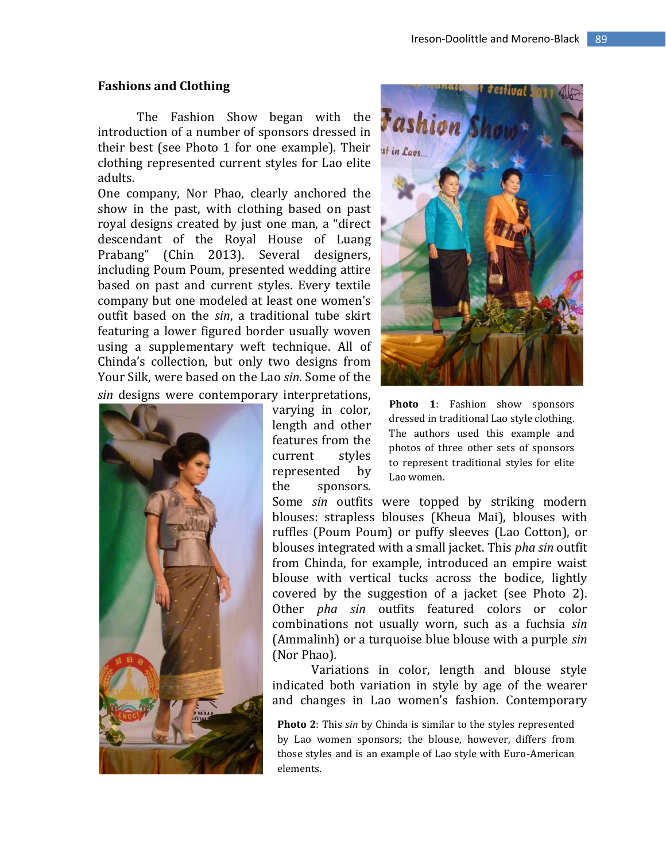#### **Fashions and Clothing**

The Fashion Show began with the introduction of a number of sponsors dressed in their best (see Photo 1 for one example). Their clothing represented current styles for Lao elite adults.

One company, Nor Phao, clearly anchored the show in the past, with clothing based on past royal designs created by just one man, a "direct descendant of the Royal House of Luang Prabang" (Chin 2013). Several designers, including Poum Poum, presented wedding attire based on past and current styles. Every textile company but one modeled at least one women's outfit based on the *sin*, a traditional tube skirt featuring a lower figured border usually woven using a supplementary weft technique. All of Chinda's collection, but only two designs from Your Silk, were based on the Lao *sin*. Some of the *sin* designs were contemporary interpretations,



varying in color, length and other features from the current styles represented by the sponsors.



**Photo 1**: Fashion show sponsors dressed in traditional Lao style clothing. The authors used this example and photos of three other sets of sponsors to represent traditional styles for elite Lao women.

Some *sin* outfits were topped by striking modern blouses: strapless blouses (Kheua Mai), blouses with ruffles (Poum Poum) or puffy sleeves (Lao Cotton), or blouses integrated with a small jacket. This *pha sin* outfit from Chinda, for example, introduced an empire waist blouse with vertical tucks across the bodice, lightly covered by the suggestion of a jacket (see Photo 2). Other *pha sin* outfits featured colors or color combinations not usually worn, such as a fuchsia *sin* (Ammalinh) or a turquoise blue blouse with a purple *sin* (Nor Phao)*.* 

Variations in color, length and blouse style indicated both variation in style by age of the wearer and changes in Lao women's fashion. Contemporary

**Photo 2**: This *sin* by Chinda is similar to the styles represented by Lao women sponsors; the blouse, however, differs from those styles and is an example of Lao style with Euro-American elements.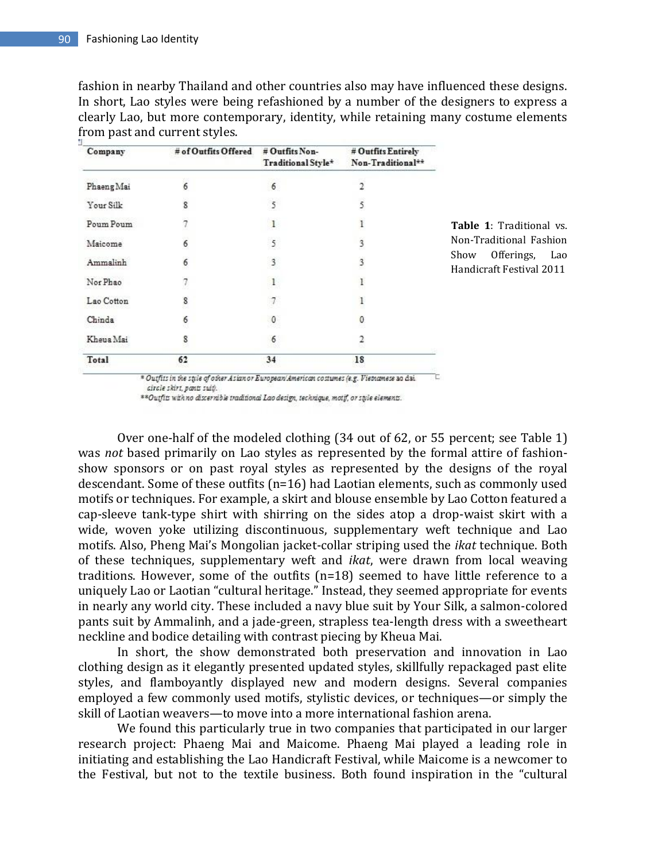fashion in nearby Thailand and other countries also may have influenced these designs. In short, Lao styles were being refashioned by a number of the designers to express a clearly Lao, but more contemporary, identity, while retaining many costume elements from past and current styles.

| Company    | # of Outfits Offered | # Outfits Non-<br>Traditional Style* | # Outfits Entirely<br>Non-Traditional** |
|------------|----------------------|--------------------------------------|-----------------------------------------|
| Phaeng Mai | 6                    | 6                                    |                                         |
| Your Silk  | 8                    | 5                                    | 5                                       |
| Poum Poum  | 1                    | 1                                    | ı                                       |
| Maicome    | 6                    | 5                                    | 3                                       |
| Ammalinh   | 6                    | 3                                    | 3                                       |
| Nor Phao   | 7                    | 1                                    | ı                                       |
| Lao Cotton | 8<br>z.              |                                      |                                         |
| Chinda     | 6                    | 0                                    | 0                                       |
| Kheua Mai  | 8                    | 6                                    | 2                                       |
| Total      | 62                   | 34                                   | 18                                      |

**Table 1**: Traditional vs. Non-Traditional Fashion Show Offerings, Lao Handicraft Festival 2011

\* Outfits in the style of other Asian or European/American costumes (e.g. Vietnamese 20 dzi. circle skirt, pants suit).

\*\*Outfits with no discernible traditional Lao design, technique, motif, or style elements.

Over one-half of the modeled clothing (34 out of 62, or 55 percent; see Table 1) was *not* based primarily on Lao styles as represented by the formal attire of fashionshow sponsors or on past royal styles as represented by the designs of the royal descendant. Some of these outfits (n=16) had Laotian elements, such as commonly used motifs or techniques. For example, a skirt and blouse ensemble by Lao Cotton featured a cap-sleeve tank-type shirt with shirring on the sides atop a drop-waist skirt with a wide, woven yoke utilizing discontinuous, supplementary weft technique and Lao motifs. Also, Pheng Mai's Mongolian jacket-collar striping used the *ikat* technique. Both of these techniques, supplementary weft and *ikat*, were drawn from local weaving traditions. However, some of the outfits (n=18) seemed to have little reference to a uniquely Lao or Laotian "cultural heritage." Instead, they seemed appropriate for events in nearly any world city. These included a navy blue suit by Your Silk, a salmon-colored pants suit by Ammalinh, and a jade-green, strapless tea-length dress with a sweetheart neckline and bodice detailing with contrast piecing by Kheua Mai.

In short, the show demonstrated both preservation and innovation in Lao clothing design as it elegantly presented updated styles, skillfully repackaged past elite styles, and flamboyantly displayed new and modern designs. Several companies employed a few commonly used motifs, stylistic devices, or techniques—or simply the skill of Laotian weavers—to move into a more international fashion arena.

We found this particularly true in two companies that participated in our larger research project: Phaeng Mai and Maicome. Phaeng Mai played a leading role in initiating and establishing the Lao Handicraft Festival, while Maicome is a newcomer to the Festival, but not to the textile business. Both found inspiration in the "cultural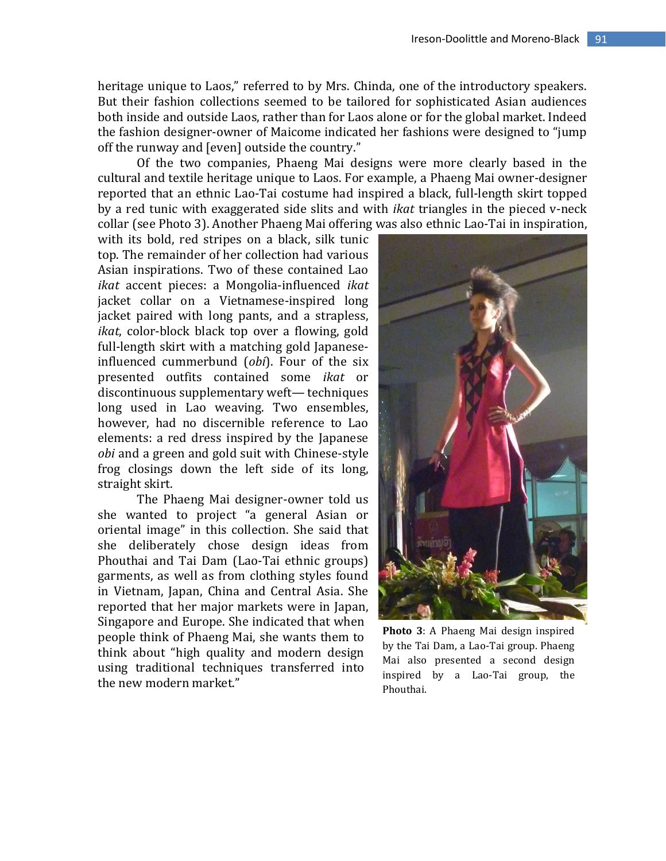heritage unique to Laos," referred to by Mrs. Chinda, one of the introductory speakers. But their fashion collections seemed to be tailored for sophisticated Asian audiences both inside and outside Laos, rather than for Laos alone or for the global market. Indeed the fashion designer-owner of Maicome indicated her fashions were designed to "jump off the runway and [even] outside the country."

Of the two companies, Phaeng Mai designs were more clearly based in the cultural and textile heritage unique to Laos. For example, a Phaeng Mai owner-designer reported that an ethnic Lao-Tai costume had inspired a black, full-length skirt topped by a red tunic with exaggerated side slits and with *ikat* triangles in the pieced v-neck collar (see Photo 3). Another Phaeng Mai offering was also ethnic Lao-Tai in inspiration,

with its bold, red stripes on a black, silk tunic top. The remainder of her collection had various Asian inspirations. Two of these contained Lao *ikat* accent pieces: a Mongolia-influenced *ikat* jacket collar on a Vietnamese-inspired long jacket paired with long pants, and a strapless, *ikat*, color-block black top over a flowing, gold full-length skirt with a matching gold Japaneseinfluenced cummerbund (*obi*). Four of the six presented outfits contained some *ikat* or discontinuous supplementary weft— techniques long used in Lao weaving. Two ensembles, however, had no discernible reference to Lao elements: a red dress inspired by the Japanese *obi* and a green and gold suit with Chinese-style frog closings down the left side of its long, straight skirt.

The Phaeng Mai designer-owner told us she wanted to project "a general Asian or oriental image" in this collection. She said that she deliberately chose design ideas from Phouthai and Tai Dam (Lao-Tai ethnic groups) garments, as well as from clothing styles found in Vietnam, Japan, China and Central Asia. She reported that her major markets were in Japan, Singapore and Europe. She indicated that when people think of Phaeng Mai, she wants them to think about "high quality and modern design using traditional techniques transferred into the new modern market."



**Photo 3**: A Phaeng Mai design inspired by the Tai Dam, a Lao-Tai group. Phaeng Mai also presented a second design inspired by a Lao-Tai group, the Phouthai.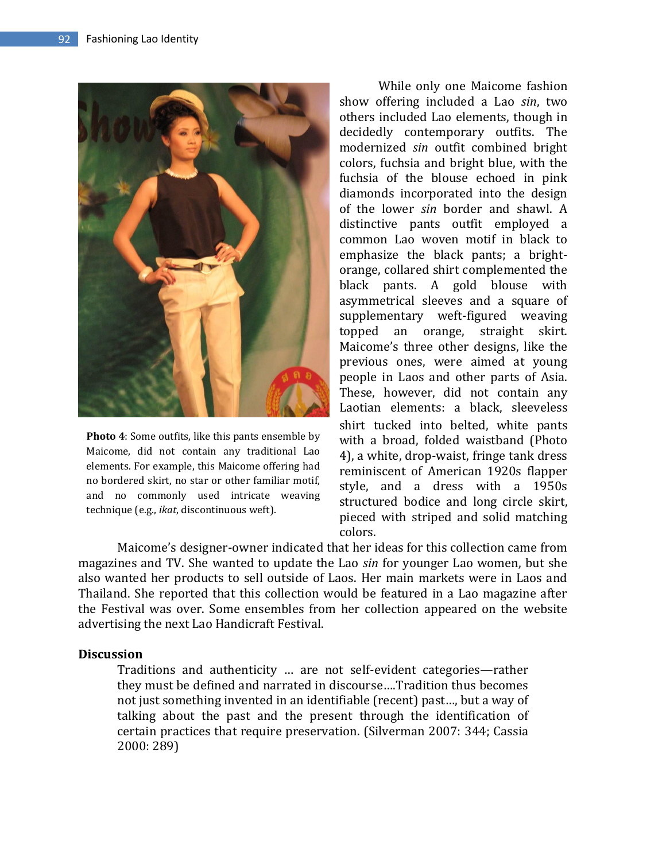

**Photo 4**: Some outfits, like this pants ensemble by Maicome, did not contain any traditional Lao elements. For example, this Maicome offering had no bordered skirt, no star or other familiar motif, and no commonly used intricate weaving technique (e.g., *ikat*, discontinuous weft).

While only one Maicome fashion show offering included a Lao *sin*, two others included Lao elements, though in decidedly contemporary outfits. The modernized *sin* outfit combined bright colors, fuchsia and bright blue, with the fuchsia of the blouse echoed in pink diamonds incorporated into the design of the lower *sin* border and shawl. A distinctive pants outfit employed a common Lao woven motif in black to emphasize the black pants; a brightorange, collared shirt complemented the black pants. A gold blouse with asymmetrical sleeves and a square of supplementary weft-figured weaving topped an orange, straight skirt. Maicome's three other designs, like the previous ones, were aimed at young people in Laos and other parts of Asia. These, however, did not contain any Laotian elements: a black, sleeveless shirt tucked into belted, white pants with a broad, folded waistband (Photo 4), a white, drop-waist, fringe tank dress reminiscent of American 1920s flapper style, and a dress with a 1950s structured bodice and long circle skirt, pieced with striped and solid matching colors.

Maicome's designer-owner indicated that her ideas for this collection came from magazines and TV. She wanted to update the Lao *sin* for younger Lao women, but she also wanted her products to sell outside of Laos. Her main markets were in Laos and Thailand. She reported that this collection would be featured in a Lao magazine after the Festival was over. Some ensembles from her collection appeared on the website advertising the next Lao Handicraft Festival.

## **Discussion**

Traditions and authenticity … are not self-evident categories—rather they must be defined and narrated in discourse….Tradition thus becomes not just something invented in an identifiable (recent) past…, but a way of talking about the past and the present through the identification of certain practices that require preservation. (Silverman 2007: 344; Cassia 2000: 289)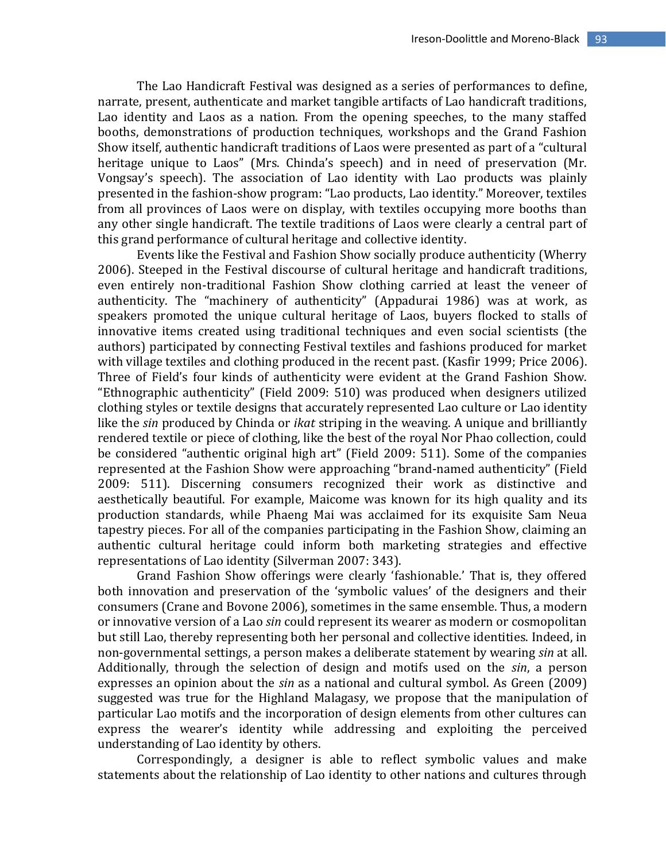The Lao Handicraft Festival was designed as a series of performances to define, narrate, present, authenticate and market tangible artifacts of Lao handicraft traditions, Lao identity and Laos as a nation. From the opening speeches, to the many staffed booths, demonstrations of production techniques, workshops and the Grand Fashion Show itself, authentic handicraft traditions of Laos were presented as part of a "cultural heritage unique to Laos" (Mrs. Chinda's speech) and in need of preservation (Mr. Vongsay's speech). The association of Lao identity with Lao products was plainly presented in the fashion-show program: "Lao products, Lao identity." Moreover, textiles from all provinces of Laos were on display, with textiles occupying more booths than any other single handicraft. The textile traditions of Laos were clearly a central part of this grand performance of cultural heritage and collective identity.

Events like the Festival and Fashion Show socially produce authenticity (Wherry 2006). Steeped in the Festival discourse of cultural heritage and handicraft traditions, even entirely non-traditional Fashion Show clothing carried at least the veneer of authenticity. The "machinery of authenticity" (Appadurai 1986) was at work, as speakers promoted the unique cultural heritage of Laos, buyers flocked to stalls of innovative items created using traditional techniques and even social scientists (the authors) participated by connecting Festival textiles and fashions produced for market with village textiles and clothing produced in the recent past. (Kasfir 1999; Price 2006). Three of Field's four kinds of authenticity were evident at the Grand Fashion Show. "Ethnographic authenticity" (Field 2009: 510) was produced when designers utilized clothing styles or textile designs that accurately represented Lao culture or Lao identity like the *sin* produced by Chinda or *ikat* striping in the weaving. A unique and brilliantly rendered textile or piece of clothing, like the best of the royal Nor Phao collection, could be considered "authentic original high art" (Field 2009: 511). Some of the companies represented at the Fashion Show were approaching "brand-named authenticity" (Field 2009: 511). Discerning consumers recognized their work as distinctive and aesthetically beautiful. For example, Maicome was known for its high quality and its production standards, while Phaeng Mai was acclaimed for its exquisite Sam Neua tapestry pieces. For all of the companies participating in the Fashion Show, claiming an authentic cultural heritage could inform both marketing strategies and effective representations of Lao identity (Silverman 2007: 343).

Grand Fashion Show offerings were clearly 'fashionable.' That is, they offered both innovation and preservation of the 'symbolic values' of the designers and their consumers (Crane and Bovone 2006), sometimes in the same ensemble. Thus, a modern or innovative version of a Lao *sin* could represent its wearer as modern or cosmopolitan but still Lao, thereby representing both her personal and collective identities. Indeed, in non-governmental settings, a person makes a deliberate statement by wearing *sin* at all. Additionally, through the selection of design and motifs used on the *sin*, a person expresses an opinion about the *sin* as a national and cultural symbol. As Green (2009) suggested was true for the Highland Malagasy, we propose that the manipulation of particular Lao motifs and the incorporation of design elements from other cultures can express the wearer's identity while addressing and exploiting the perceived understanding of Lao identity by others.

Correspondingly, a designer is able to reflect symbolic values and make statements about the relationship of Lao identity to other nations and cultures through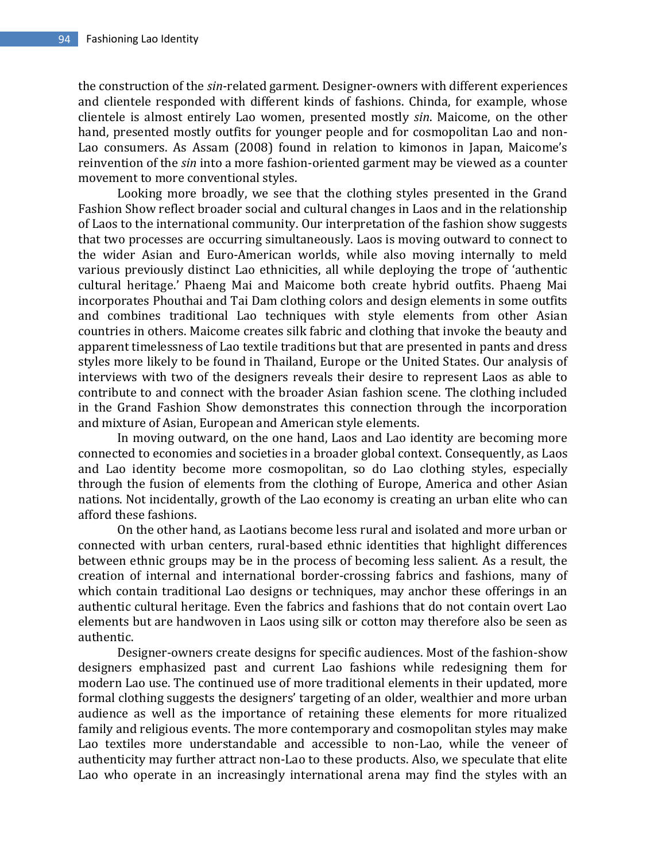the construction of the *sin*-related garment. Designer-owners with different experiences and clientele responded with different kinds of fashions. Chinda, for example, whose clientele is almost entirely Lao women, presented mostly *sin*. Maicome, on the other hand, presented mostly outfits for younger people and for cosmopolitan Lao and non-Lao consumers. As Assam (2008) found in relation to kimonos in Japan, Maicome's reinvention of the *sin* into a more fashion-oriented garment may be viewed as a counter movement to more conventional styles.

Looking more broadly, we see that the clothing styles presented in the Grand Fashion Show reflect broader social and cultural changes in Laos and in the relationship of Laos to the international community. Our interpretation of the fashion show suggests that two processes are occurring simultaneously. Laos is moving outward to connect to the wider Asian and Euro-American worlds, while also moving internally to meld various previously distinct Lao ethnicities, all while deploying the trope of 'authentic cultural heritage.' Phaeng Mai and Maicome both create hybrid outfits. Phaeng Mai incorporates Phouthai and Tai Dam clothing colors and design elements in some outfits and combines traditional Lao techniques with style elements from other Asian countries in others. Maicome creates silk fabric and clothing that invoke the beauty and apparent timelessness of Lao textile traditions but that are presented in pants and dress styles more likely to be found in Thailand, Europe or the United States. Our analysis of interviews with two of the designers reveals their desire to represent Laos as able to contribute to and connect with the broader Asian fashion scene. The clothing included in the Grand Fashion Show demonstrates this connection through the incorporation and mixture of Asian, European and American style elements.

In moving outward, on the one hand, Laos and Lao identity are becoming more connected to economies and societies in a broader global context. Consequently, as Laos and Lao identity become more cosmopolitan, so do Lao clothing styles, especially through the fusion of elements from the clothing of Europe, America and other Asian nations. Not incidentally, growth of the Lao economy is creating an urban elite who can afford these fashions.

On the other hand, as Laotians become less rural and isolated and more urban or connected with urban centers, rural-based ethnic identities that highlight differences between ethnic groups may be in the process of becoming less salient. As a result, the creation of internal and international border-crossing fabrics and fashions, many of which contain traditional Lao designs or techniques, may anchor these offerings in an authentic cultural heritage. Even the fabrics and fashions that do not contain overt Lao elements but are handwoven in Laos using silk or cotton may therefore also be seen as authentic.

Designer-owners create designs for specific audiences. Most of the fashion-show designers emphasized past and current Lao fashions while redesigning them for modern Lao use. The continued use of more traditional elements in their updated, more formal clothing suggests the designers' targeting of an older, wealthier and more urban audience as well as the importance of retaining these elements for more ritualized family and religious events. The more contemporary and cosmopolitan styles may make Lao textiles more understandable and accessible to non-Lao, while the veneer of authenticity may further attract non-Lao to these products. Also, we speculate that elite Lao who operate in an increasingly international arena may find the styles with an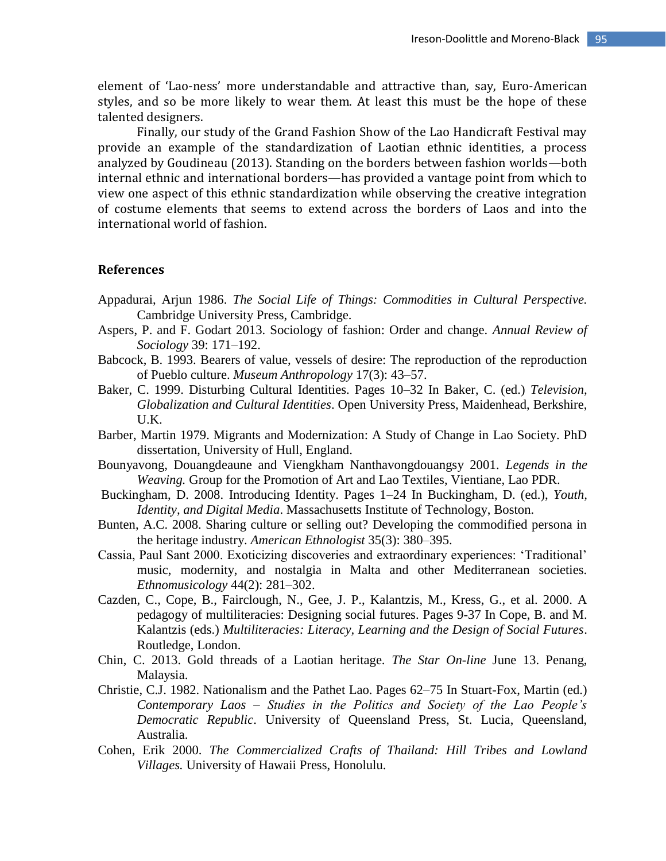element of 'Lao-ness' more understandable and attractive than, say, Euro-American styles, and so be more likely to wear them. At least this must be the hope of these talented designers.

Finally, our study of the Grand Fashion Show of the Lao Handicraft Festival may provide an example of the standardization of Laotian ethnic identities, a process analyzed by Goudineau (2013). Standing on the borders between fashion worlds—both internal ethnic and international borders—has provided a vantage point from which to view one aspect of this ethnic standardization while observing the creative integration of costume elements that seems to extend across the borders of Laos and into the international world of fashion.

#### **References**

- Appadurai, Arjun 1986. *The Social Life of Things: Commodities in Cultural Perspective.* Cambridge University Press, Cambridge.
- Aspers, P. and F. Godart 2013. Sociology of fashion: Order and change. *Annual Review of Sociology* 39: 171–192.
- Babcock, B. 1993. Bearers of value, vessels of desire: The reproduction of the reproduction of Pueblo culture. *Museum Anthropology* 17(3): 43–57.
- Baker, C. 1999. Disturbing Cultural Identities. Pages 10–32 In Baker, C. (ed.) *Television, Globalization and Cultural Identities*. Open University Press, Maidenhead, Berkshire, U.K.
- Barber, Martin 1979. Migrants and Modernization: A Study of Change in Lao Society. PhD dissertation, University of Hull, England.
- Bounyavong, Douangdeaune and Viengkham Nanthavongdouangsy 2001*. Legends in the Weaving.* Group for the Promotion of Art and Lao Textiles, Vientiane, Lao PDR.
- Buckingham, D. 2008. Introducing Identity. Pages 1–24 In Buckingham, D. (ed.), *Youth, Identity, and Digital Media*. Massachusetts Institute of Technology, Boston.
- Bunten, A.C. 2008. Sharing culture or selling out? Developing the commodified persona in the heritage industry. *American Ethnologist* 35(3): 380–395.
- Cassia, Paul Sant 2000. Exoticizing discoveries and extraordinary experiences: 'Traditional' music, modernity, and nostalgia in Malta and other Mediterranean societies. *Ethnomusicology* 44(2): 281–302.
- Cazden, C., Cope, B., Fairclough, N., Gee, J. P., Kalantzis, M., Kress, G., et al. 2000. A pedagogy of multiliteracies: Designing social futures. Pages 9-37 In Cope, B. and M. Kalantzis (eds.) *Multiliteracies: Literacy, Learning and the Design of Social Futures*. Routledge, London.
- Chin, C. 2013. Gold threads of a Laotian heritage. *The Star On-line* June 13. Penang, Malaysia.
- Christie, C.J. 1982. Nationalism and the Pathet Lao. Pages 62–75 In Stuart-Fox, Martin (ed.) *Contemporary Laos – Studies in the Politics and Society of the Lao People's Democratic Republic*. University of Queensland Press, St. Lucia, Queensland, Australia.
- Cohen, Erik 2000. *The Commercialized Crafts of Thailand: Hill Tribes and Lowland Villages.* University of Hawaii Press, Honolulu.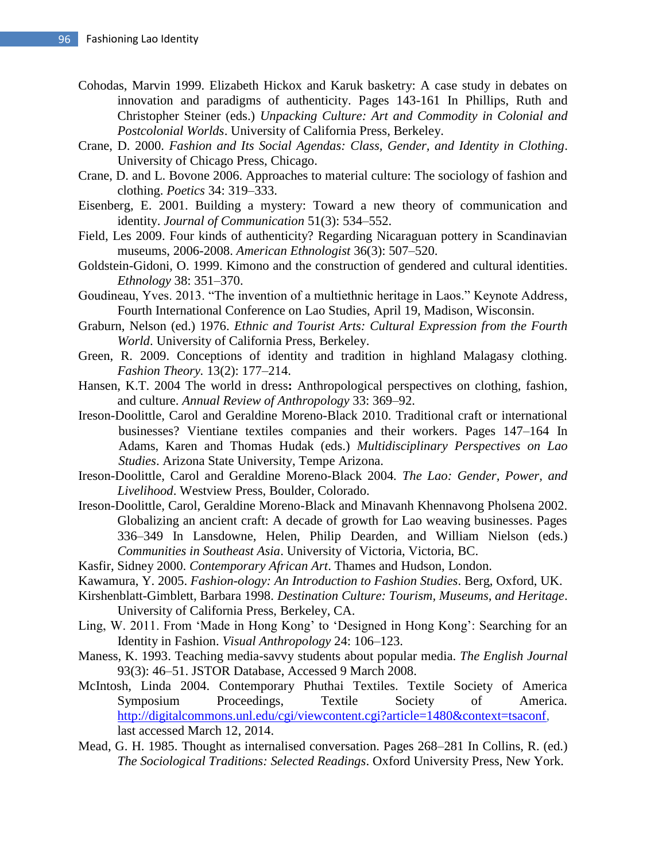- Cohodas, Marvin 1999. Elizabeth Hickox and Karuk basketry: A case study in debates on innovation and paradigms of authenticity. Pages 143-161 In Phillips, Ruth and Christopher Steiner (eds.) *Unpacking Culture: Art and Commodity in Colonial and Postcolonial Worlds*. University of California Press, Berkeley.
- Crane, D. 2000. *Fashion and Its Social Agendas: Class, Gender, and Identity in Clothing*. University of Chicago Press, Chicago.
- Crane, D. and L. Bovone 2006. Approaches to material culture: The sociology of fashion and clothing. *Poetics* 34: 319–333.
- Eisenberg, E. 2001. Building a mystery: Toward a new theory of communication and identity. *Journal of Communication* 51(3): 534–552.
- Field, Les 2009. Four kinds of authenticity? Regarding Nicaraguan pottery in Scandinavian museums, 2006-2008. *American Ethnologist* 36(3): 507–520.
- Goldstein-Gidoni, O. 1999. Kimono and the construction of gendered and cultural identities. *Ethnology* 38: 351–370.
- Goudineau, Yves. 2013. "The invention of a multiethnic heritage in Laos." Keynote Address, Fourth International Conference on Lao Studies, April 19, Madison, Wisconsin.
- Graburn, Nelson (ed.) 1976. *Ethnic and Tourist Arts: Cultural Expression from the Fourth World*. University of California Press, Berkeley.
- Green, R. 2009. Conceptions of identity and tradition in highland Malagasy clothing. *Fashion Theory.* 13(2): 177–214.
- Hansen, K.T. 2004 The world in dress**:** Anthropological perspectives on clothing, fashion, and culture. *Annual Review of Anthropology* 33: 369–92.
- Ireson-Doolittle, Carol and Geraldine Moreno-Black 2010. Traditional craft or international businesses? Vientiane textiles companies and their workers. Pages 147–164 In Adams, Karen and Thomas Hudak (eds.) *Multidisciplinary Perspectives on Lao Studies*. Arizona State University, Tempe Arizona.
- Ireson-Doolittle, Carol and Geraldine Moreno-Black 2004*. The Lao: Gender, Power, and Livelihood*. Westview Press, Boulder, Colorado.
- Ireson-Doolittle, Carol, Geraldine Moreno-Black and Minavanh Khennavong Pholsena 2002. Globalizing an ancient craft: A decade of growth for Lao weaving businesses. Pages 336–349 In Lansdowne, Helen, Philip Dearden, and William Nielson (eds.) *Communities in Southeast Asia*. University of Victoria, Victoria, BC.
- Kasfir, Sidney 2000. *Contemporary African Art*. Thames and Hudson, London.
- Kawamura, Y. 2005. *Fashion-ology: An Introduction to Fashion Studies*. Berg, Oxford, UK.
- Kirshenblatt-Gimblett, Barbara 1998. *Destination Culture: Tourism, Museums, and Heritage*. University of California Press, Berkeley, CA.
- Ling, W. 2011. From 'Made in Hong Kong' to 'Designed in Hong Kong': Searching for an Identity in Fashion. *Visual Anthropology* 24: 106–123.
- Maness, K. 1993. Teaching media-savvy students about popular media. *The English Journal*  93(3): 46–51. JSTOR Database, Accessed 9 March 2008.
- McIntosh, Linda 2004. Contemporary Phuthai Textiles. Textile Society of America Symposium Proceedings, Textile Society of America. [http://digitalcommons.unl.edu/cgi/viewcontent.cgi?article=1480&context=tsaconf,](http://digitalcommons.unl.edu/cgi/viewcontent.cgi?article=1480&context=tsaconf) last accessed March 12, 2014.
- Mead, G. H. 1985. Thought as internalised conversation. Pages 268–281 In Collins, R. (ed.) *The Sociological Traditions: Selected Readings*. Oxford University Press, New York.